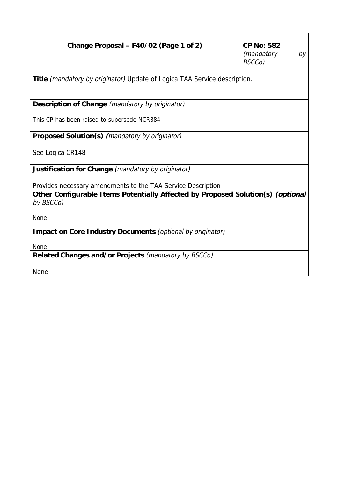| Change Proposal – F40/02 (Page 1 of 2)                                                       | <b>CP No: 582</b><br>(mandatory<br>by |  |  |  |  |
|----------------------------------------------------------------------------------------------|---------------------------------------|--|--|--|--|
|                                                                                              | BSCCo)                                |  |  |  |  |
|                                                                                              |                                       |  |  |  |  |
| Title <i>(mandatory by originator)</i> Update of Logica TAA Service description.             |                                       |  |  |  |  |
| Description of Change (mandatory by originator)                                              |                                       |  |  |  |  |
| This CP has been raised to supersede NCR384                                                  |                                       |  |  |  |  |
| Proposed Solution(s) (mandatory by originator)                                               |                                       |  |  |  |  |
| See Logica CR148                                                                             |                                       |  |  |  |  |
| Justification for Change (mandatory by originator)                                           |                                       |  |  |  |  |
| Provides necessary amendments to the TAA Service Description                                 |                                       |  |  |  |  |
| Other Configurable Items Potentially Affected by Proposed Solution(s) (optional<br>by BSCCo) |                                       |  |  |  |  |
| None                                                                                         |                                       |  |  |  |  |
| Impact on Core Industry Documents (optional by originator)                                   |                                       |  |  |  |  |
| None                                                                                         |                                       |  |  |  |  |
| Related Changes and/or Projects (mandatory by BSCCo)                                         |                                       |  |  |  |  |
| <b>None</b>                                                                                  |                                       |  |  |  |  |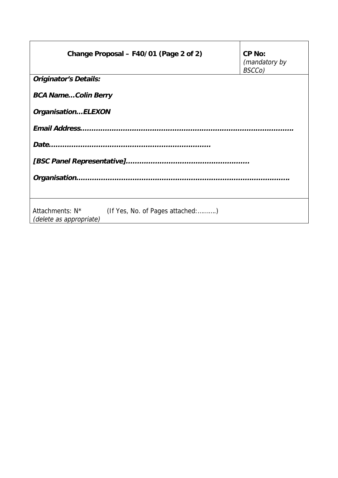| Change Proposal – F40/01 (Page 2 of 2)                                                     | <b>CP No:</b><br>(mandatory by<br>BSCCo) |  |  |  |
|--------------------------------------------------------------------------------------------|------------------------------------------|--|--|--|
| <b>Originator's Details:</b>                                                               |                                          |  |  |  |
| <b>BCA NameColin Berry</b>                                                                 |                                          |  |  |  |
| OrganisationELEXON                                                                         |                                          |  |  |  |
|                                                                                            |                                          |  |  |  |
|                                                                                            |                                          |  |  |  |
|                                                                                            |                                          |  |  |  |
|                                                                                            |                                          |  |  |  |
| Attachments: N <sup>*</sup><br>(If Yes, No. of Pages attached:)<br>(delete as appropriate) |                                          |  |  |  |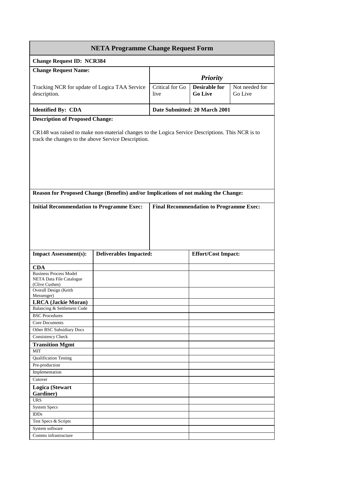| <b>NETA Programme Change Request Form</b>                                                                                                               |                               |                         |                                                |                           |  |  |
|---------------------------------------------------------------------------------------------------------------------------------------------------------|-------------------------------|-------------------------|------------------------------------------------|---------------------------|--|--|
| <b>Change Request ID: NCR384</b>                                                                                                                        |                               |                         |                                                |                           |  |  |
| <b>Change Request Name:</b>                                                                                                                             |                               | <b>Priority</b>         |                                                |                           |  |  |
| Tracking NCR for update of Logica TAA Service<br>description.                                                                                           |                               | Critical for Go<br>live | <b>Desirable for</b><br><b>Go Live</b>         | Not needed for<br>Go Live |  |  |
| <b>Identified By: CDA</b>                                                                                                                               |                               |                         | Date Submitted: 20 March 2001                  |                           |  |  |
| <b>Description of Proposed Change:</b>                                                                                                                  |                               |                         |                                                |                           |  |  |
| CR148 was raised to make non-material changes to the Logica Service Descriptions. This NCR is to<br>track the changes to the above Service Description. |                               |                         |                                                |                           |  |  |
| Reason for Proposed Change (Benefits) and/or Implications of not making the Change:                                                                     |                               |                         |                                                |                           |  |  |
| <b>Initial Recommendation to Programme Exec:</b>                                                                                                        |                               |                         | <b>Final Recommendation to Programme Exec:</b> |                           |  |  |
| <b>Impact Assessment(s):</b>                                                                                                                            | <b>Deliverables Impacted:</b> |                         | <b>Effort/Cost Impact:</b>                     |                           |  |  |
|                                                                                                                                                         |                               |                         |                                                |                           |  |  |
| <b>CDA</b><br><b>Business Process Model</b><br><b>NETA Data File Catalogue</b><br>(Clive Cushen)<br>Overall Design (Keith                               |                               |                         |                                                |                           |  |  |
| Messenger)<br><b>LRCA</b> (Jackie Moran)                                                                                                                |                               |                         |                                                |                           |  |  |
| Balancing & Settlement Code                                                                                                                             |                               |                         |                                                |                           |  |  |
| <b>BSC</b> Procedures                                                                                                                                   |                               |                         |                                                |                           |  |  |
| Core Documents                                                                                                                                          |                               |                         |                                                |                           |  |  |
| Other BSC Subsidiary Docs                                                                                                                               |                               |                         |                                                |                           |  |  |
| Consistency Check                                                                                                                                       |                               |                         |                                                |                           |  |  |
| <b>Transition Mgmt</b>                                                                                                                                  |                               |                         |                                                |                           |  |  |
| <b>MIT</b>                                                                                                                                              |                               |                         |                                                |                           |  |  |
| <b>Qualification Testing</b>                                                                                                                            |                               |                         |                                                |                           |  |  |
| Pre-production                                                                                                                                          |                               |                         |                                                |                           |  |  |
| Implementation<br>Cutover                                                                                                                               |                               |                         |                                                |                           |  |  |
|                                                                                                                                                         |                               |                         |                                                |                           |  |  |
| Logica (Stewart<br>Gardiner)                                                                                                                            |                               |                         |                                                |                           |  |  |
| <b>URS</b>                                                                                                                                              |                               |                         |                                                |                           |  |  |
| System Specs                                                                                                                                            |                               |                         |                                                |                           |  |  |
| <b>IDDs</b>                                                                                                                                             |                               |                         |                                                |                           |  |  |
| Test Specs & Scripts                                                                                                                                    |                               |                         |                                                |                           |  |  |
| System software                                                                                                                                         |                               |                         |                                                |                           |  |  |
| Comms infrastructure                                                                                                                                    |                               |                         |                                                |                           |  |  |